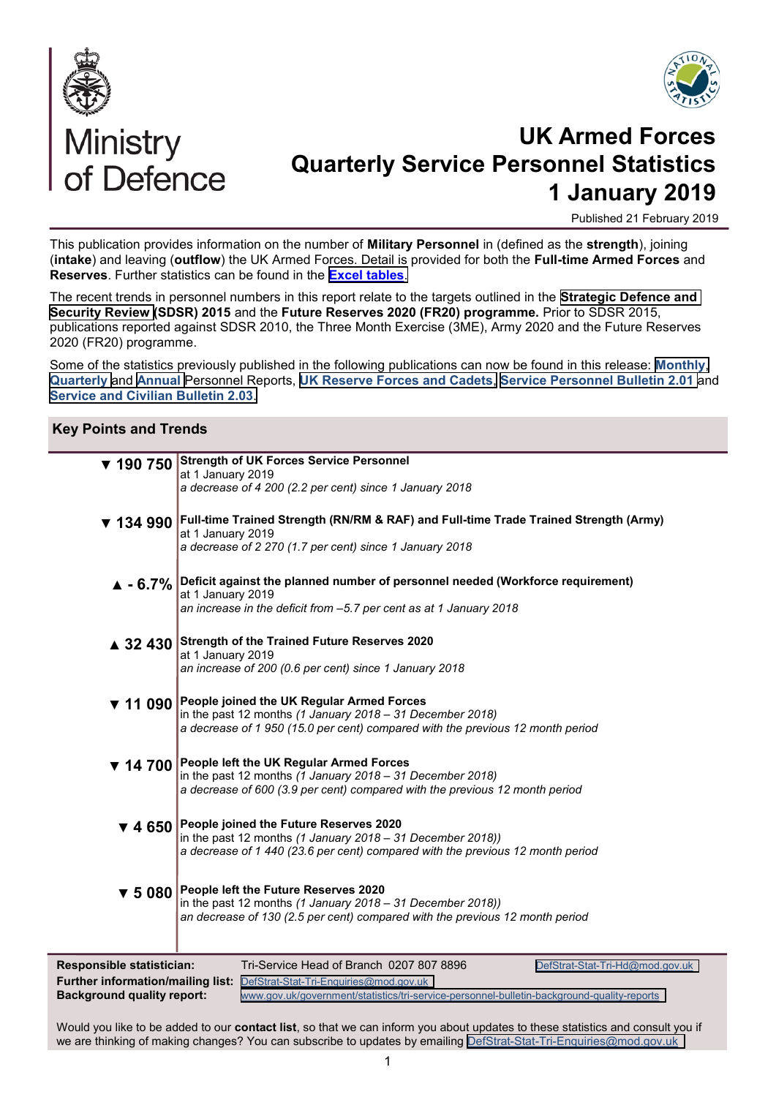



# Ministry<br>of Defence

## **UK Armed Forces Quarterly Service Personnel Statistics 1 January 2019**

Published 21 February 2019

This publication provides information on the number of **Military Personnel** in (defined as the **strength**), joining (**intake**) and leaving (**outflow**) the UK Armed Forces. Detail is provided for both the **Full-time Armed Forces** and **Reserves**. Further statistics can be found in the **[Excel tables](https://www.gov.uk/government/statistics/quarterly-service-personnel-statistics-2019)**.

The recent trends in personnel numbers in this report relate to the targets outlined in the **[Strategic Defence and](https://www.gov.uk/government/uploads/system/uploads/attachment_data/file/62482/strategic-defence-security-review.pdf)  [Security Review \(](https://www.gov.uk/government/uploads/system/uploads/attachment_data/file/62482/strategic-defence-security-review.pdf)SDSR) 2015** and the **Future Reserves 2020 (FR20) programme.** Prior to SDSR 2015, publications reported against SDSR 2010, the Three Month Exercise (3ME), Army 2020 and the Future Reserves 2020 (FR20) programme.

Some of the statistics previously published in the following publications can now be found in this release: **[Monthly](https://www.gov.uk/government/collections/uk-armed-forces-monthly-manning-statistics-index)**, **[Quarterly](https://www.gov.uk/government/collections/uk-armed-forces-quarterly-manning-report-statistics-index)** and **[Annual](https://www.gov.uk/government/collections/uk-armed-forces-annual-manning-statistics-index)** Personnel Reports, **[UK Reserve Forces and Cadets](https://www.gov.uk/government/collections/strength-of-the-uk-reserve-forces-index)**, **[Service Personnel Bulletin 2.01](https://www.gov.uk/government/collections/tri-service-personnel-bulletin-statistics-index)** and **[Service and Civilian Bulletin 2.03](https://www.gov.uk/government/collections/mod-service-and-civilian-personnel-bulletin-index)**.

#### **Key Points and Trends**

|                                  | ▼ 190 750 Strength of UK Forces Service Personnel                                                                                                                 |
|----------------------------------|-------------------------------------------------------------------------------------------------------------------------------------------------------------------|
|                                  | at 1 January 2019<br>a decrease of 4 200 (2.2 per cent) since 1 January 2018                                                                                      |
|                                  |                                                                                                                                                                   |
|                                  | ▼ 134 990 Full-time Trained Strength (RN/RM & RAF) and Full-time Trade Trained Strength (Army)<br>at 1 January 2019                                               |
|                                  | a decrease of 2 270 (1.7 per cent) since 1 January 2018                                                                                                           |
|                                  |                                                                                                                                                                   |
|                                  | ▲ - 6.7% Deficit against the planned number of personnel needed (Workforce requirement)<br>at 1 January 2019                                                      |
|                                  | an increase in the deficit from -5.7 per cent as at 1 January 2018                                                                                                |
|                                  |                                                                                                                                                                   |
|                                  | ▲ 32 430 Strength of the Trained Future Reserves 2020<br>at 1 January 2019                                                                                        |
|                                  | an increase of 200 (0.6 per cent) since 1 January 2018                                                                                                            |
|                                  | ▼ 11 090 People joined the UK Regular Armed Forces                                                                                                                |
|                                  | in the past 12 months (1 January 2018 - 31 December 2018)                                                                                                         |
|                                  | a decrease of 1 950 (15.0 per cent) compared with the previous 12 month period                                                                                    |
|                                  | ▼ 14 700 People left the UK Regular Armed Forces                                                                                                                  |
|                                  | in the past 12 months $(1)$ January 2018 – 31 December 2018)<br>a decrease of 600 (3.9 per cent) compared with the previous 12 month period                       |
|                                  |                                                                                                                                                                   |
|                                  | $\blacktriangledown$ 4 650 People joined the Future Reserves 2020                                                                                                 |
|                                  | in the past 12 months $(1 \text{ January } 2018 - 31 \text{ December } 2018)$ )<br>a decrease of 1 440 (23.6 per cent) compared with the previous 12 month period |
|                                  |                                                                                                                                                                   |
|                                  | ▼ 5 080 People left the Future Reserves 2020                                                                                                                      |
|                                  | in the past 12 months $(1 \text{ January } 2018 - 31 \text{ December } 2018)$ )<br>an decrease of 130 (2.5 per cent) compared with the previous 12 month period   |
|                                  |                                                                                                                                                                   |
|                                  |                                                                                                                                                                   |
| <b>Responsible statistician:</b> | Tri-Service Head of Branch 0207 807 8896<br>DefStrat-Stat-Tri-Hd@mod.gov.uk                                                                                       |

**Further information/mailing list:** DefStrat-Stat-Tri-[Enquiries@mod.gov.uk](mailto:DefStrat-Stat-Tri-Enquiries@mod.uk)<br>Background quality report: www.gov.uk/government/statistics/tri-sen **Background quality report:** [www.gov.uk/government/statistics/tri](https://www.gov.uk/government/statistics/tri-service-personnel-bulletin-background-quality-reports)-service-personnel-bulletin-background-quality-reports

Would you like to be added to our **contact list**, so that we can inform you about updates to these statistics and consult you if we are thinking of making changes? You can subscribe to updates by emailing DefStrat-Stat-Tri-[Enquiries@mod.gov.uk](mailto:DefStrat-Stat-Tri-Enquiries@mod.uk)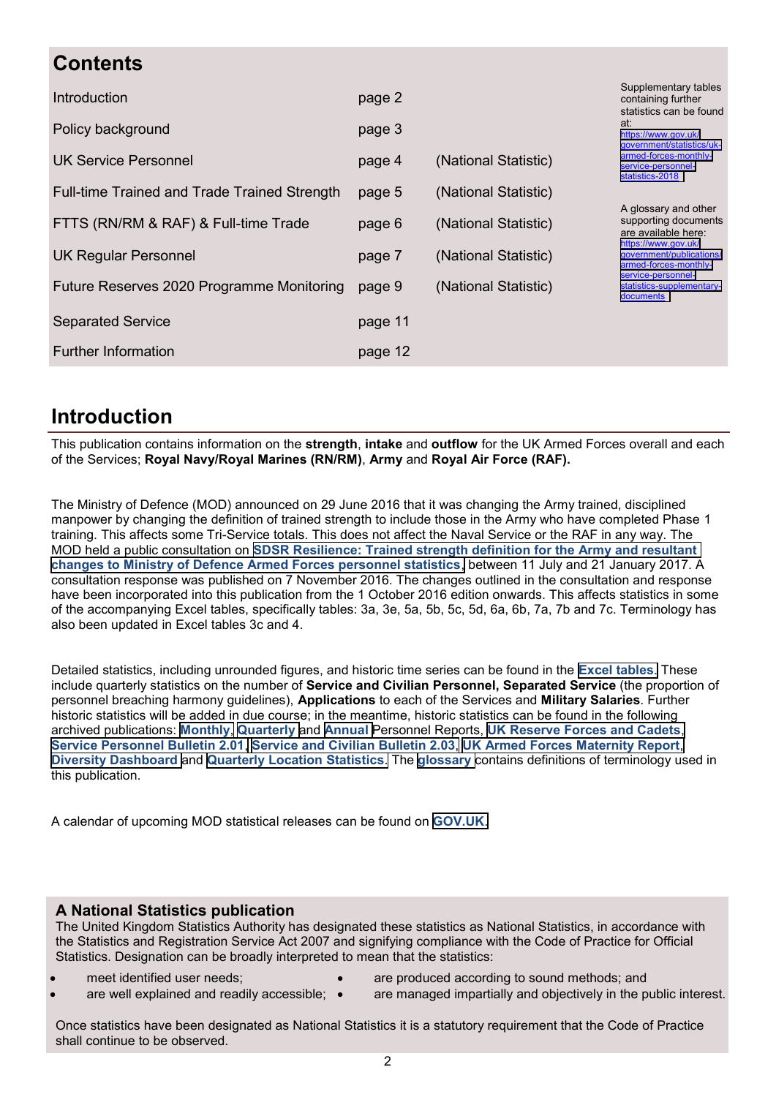| <b>Contents</b>                              |         |                      |                                                                          |
|----------------------------------------------|---------|----------------------|--------------------------------------------------------------------------|
| Introduction                                 | page 2  |                      | Supplementary tables<br>containing further<br>statistics can be found    |
| Policy background                            | page 3  |                      | at:<br>https://www.gov.uk/<br>qovernment/statistics/uk-                  |
| UK Service Personnel                         | page 4  | (National Statistic) | armed-forces-monthly-<br>service-personnel-<br>statistics-2018           |
| Full-time Trained and Trade Trained Strength | page 5  | (National Statistic) |                                                                          |
| FTTS (RN/RM & RAF) & Full-time Trade         | page 6  | (National Statistic) | A glossary and other<br>supporting documents<br>are available here:      |
| <b>UK Regular Personnel</b>                  | page 7  | (National Statistic) | https://www.gov.uk/<br>government/publications/<br>armed-forces-monthly- |
| Future Reserves 2020 Programme Monitoring    | page 9  | (National Statistic) | service-personnel-<br>statistics-supplementary-<br>documents             |
| <b>Separated Service</b>                     | page 11 |                      |                                                                          |
| <b>Further Information</b>                   | page 12 |                      |                                                                          |

## **Introduction**

This publication contains information on the **strength**, **intake** and **outflow** for the UK Armed Forces overall and each of the Services; **Royal Navy/Royal Marines (RN/RM)**, **Army** and **Royal Air Force (RAF).** 

The Ministry of Defence (MOD) announced on 29 June 2016 that it was changing the Army trained, disciplined manpower by changing the definition of trained strength to include those in the Army who have completed Phase 1 training. This affects some Tri-Service totals. This does not affect the Naval Service or the RAF in any way. The MOD held a public consultation on **[SDSR Resilience: Trained strength definition for the Army and resultant](https://www.gov.uk/government/consultations/mod-personnel-statistics-change-to-army-trained-strength-definition)  [changes to Ministry of Defence Armed Forces personnel statistics](https://www.gov.uk/government/consultations/mod-personnel-statistics-change-to-army-trained-strength-definition)**, between 11 July and 21 January 2017. A consultation response was published on 7 November 2016. The changes outlined in the consultation and response have been incorporated into this publication from the 1 October 2016 edition onwards. This affects statistics in some of the accompanying Excel tables, specifically tables: 3a, 3e, 5a, 5b, 5c, 5d, 6a, 6b, 7a, 7b and 7c. Terminology has also been updated in Excel tables 3c and 4.

Detailed statistics, including unrounded figures, and historic time series can be found in the **[Excel tables](https://www.gov.uk/government/statistics/uk-armed-forces-monthly-service-personnel-statistics-2016)**. These include quarterly statistics on the number of **Service and Civilian Personnel, Separated Service** (the proportion of personnel breaching harmony guidelines), **Applications** to each of the Services and **Military Salaries**. Further historic statistics will be added in due course; in the meantime, historic statistics can be found in the following archived publications: **[Monthly](https://www.gov.uk/government/collections/uk-armed-forces-monthly-manning-statistics-index)**, **[Quarterly](https://www.gov.uk/government/collections/uk-armed-forces-quarterly-manning-report-statistics-index)** and **[Annual](https://www.gov.uk/government/collections/uk-armed-forces-annual-manning-statistics-index)** Personnel Reports, **[UK Reserve Forces and Cadets](https://www.gov.uk/government/collections/strength-of-the-uk-reserve-forces-index)**, **[Service Personnel Bulletin 2.01](https://www.gov.uk/government/collections/tri-service-personnel-bulletin-statistics-index)**, **[Service and Civilian Bulletin 2.03](https://www.gov.uk/government/collections/mod-service-and-civilian-personnel-bulletin-index)**, **[UK Armed Forces Maternity Report](https://www.gov.uk/government/statistics/uk-armed-forces-maternity-report)**, **[Diversity Dashboard](https://www.gov.uk/government/collections/mod-diversity-dashboard-index)** and **[Quarterly Location Statistics](https://www.gov.uk/government/collections/location-of-all-uk-regular-service-and-civilian-personnel-quarterly-statistics-index)**. The **[glossary](https://www.gov.uk/government/uploads/system/uploads/attachment_data/file/479869/Tri-Service_Glossary_-_Oct15.pdf)** contains definitions of terminology used in this publication.

A calendar of upcoming MOD statistical releases can be found on **[GOV.UK](https://www.gov.uk/government/organisations/ministry-of-defence/about/statistics#calendar-of-upcoming-statistical-releases)**.

#### **A National Statistics publication**

The United Kingdom Statistics Authority has designated these statistics as National Statistics, in accordance with the Statistics and Registration Service Act 2007 and signifying compliance with the Code of Practice for Official Statistics. Designation can be broadly interpreted to mean that the statistics:

- meet identified user needs;
- are produced according to sound methods; and
- are well explained and readily accessible;
- are managed impartially and objectively in the public interest.

Once statistics have been designated as National Statistics it is a statutory requirement that the Code of Practice shall continue to be observed.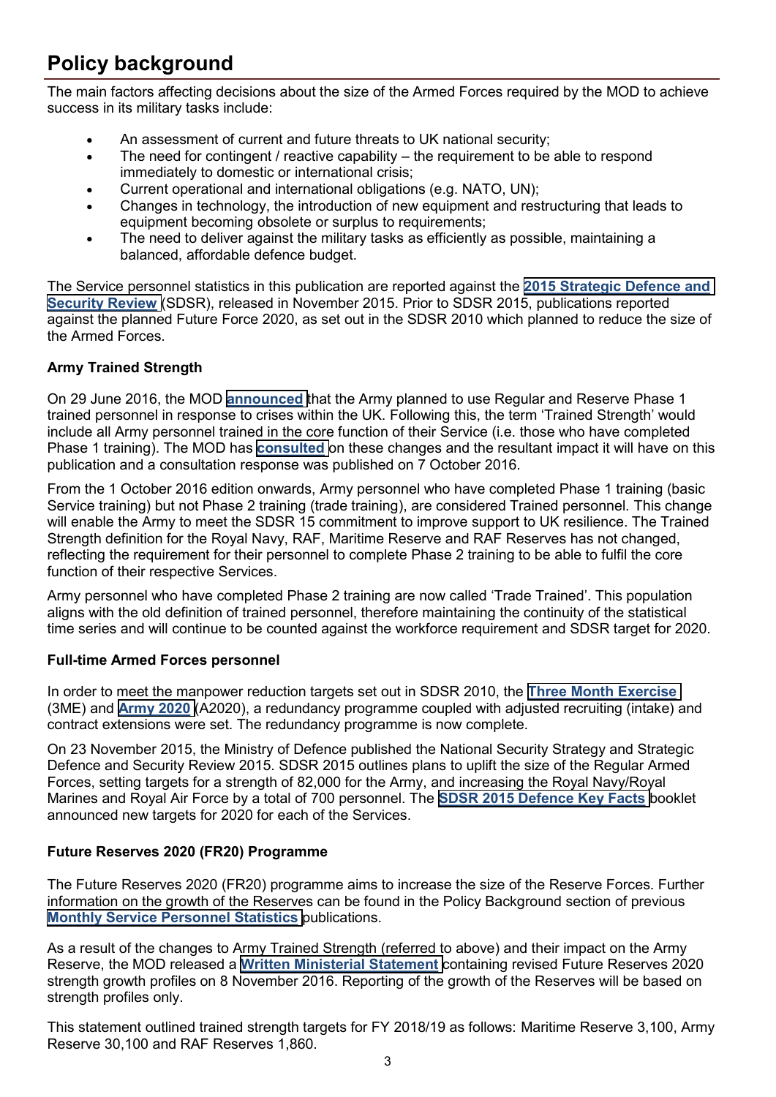## **Policy background**

The main factors affecting decisions about the size of the Armed Forces required by the MOD to achieve success in its military tasks include:

- An assessment of current and future threats to UK national security;
- The need for contingent / reactive capability  $-$  the requirement to be able to respond immediately to domestic or international crisis;
- Current operational and international obligations (e.g. NATO, UN);
- Changes in technology, the introduction of new equipment and restructuring that leads to equipment becoming obsolete or surplus to requirements;
- The need to deliver against the military tasks as efficiently as possible, maintaining a balanced, affordable defence budget.

The Service personnel statistics in this publication are reported against the **[2015 Strategic Defence and](https://www.gov.uk/government/publications/national-security-strategy-and-strategic-defence-and-security-review-2015)  [Security Review](https://www.gov.uk/government/publications/national-security-strategy-and-strategic-defence-and-security-review-2015)** (SDSR), released in November 2015. Prior to SDSR 2015, publications reported against the planned Future Force 2020, as set out in the SDSR 2010 which planned to reduce the size of the Armed Forces.

#### **Army Trained Strength**

On 29 June 2016, the MOD **[announced](http://www.parliament.uk/business/publications/written-questions-answers-statements/written-statement/Lords/2016-06-29/HLWS50)** that the Army planned to use Regular and Reserve Phase 1 trained personnel in response to crises within the UK. Following this, the term 'Trained Strength' would include all Army personnel trained in the core function of their Service (i.e. those who have completed Phase 1 training). The MOD has **[consulted](https://www.gov.uk/government/consultations/mod-personnel-statistics-change-to-army-trained-strength-definition)** on these changes and the resultant impact it will have on this publication and a consultation response was published on 7 October 2016.

From the 1 October 2016 edition onwards, Army personnel who have completed Phase 1 training (basic Service training) but not Phase 2 training (trade training), are considered Trained personnel. This change will enable the Army to meet the SDSR 15 commitment to improve support to UK resilience. The Trained Strength definition for the Royal Navy, RAF, Maritime Reserve and RAF Reserves has not changed, reflecting the requirement for their personnel to complete Phase 2 training to be able to fulfil the core function of their respective Services.

Army personnel who have completed Phase 2 training are now called 'Trade Trained'. This population aligns with the old definition of trained personnel, therefore maintaining the continuity of the statistical time series and will continue to be counted against the workforce requirement and SDSR target for 2020.

#### **Full-time Armed Forces personnel**

In order to meet the manpower reduction targets set out in SDSR 2010, the **[Three Month Exercise](http://www.parliament.uk/briefing-papers/sn05951.pdf)** (3ME) and **[Army 2020](https://www.gov.uk/government/news/defence-secretary-on-army-2020)** (A2020), a redundancy programme coupled with adjusted recruiting (intake) and contract extensions were set. The redundancy programme is now complete.

On 23 November 2015, the Ministry of Defence published the National Security Strategy and Strategic Defence and Security Review 2015. SDSR 2015 outlines plans to uplift the size of the Regular Armed Forces, setting targets for a strength of 82,000 for the Army, and increasing the Royal Navy/Royal Marines and Royal Air Force by a total of 700 personnel. The **[SDSR 2015 Defence Key Facts](https://www.gov.uk/government/uploads/system/uploads/attachment_data/file/486074/20151216SDSR_2015_Booklet_vers_1300976.pdf)** booklet announced new targets for 2020 for each of the Services.

#### **Future Reserves 2020 (FR20) Programme**

The Future Reserves 2020 (FR20) programme aims to increase the size of the Reserve Forces. Further information on the growth of the Reserves can be found in the Policy Background section of previous **Monthly [Service Personnel Statistics](https://www.gov.uk/government/collections/uk-armed-forces-monthly-service-personnel-statistics-index)** publications.

As a result of the changes to Army Trained Strength (referred to above) and their impact on the Army Reserve, the MOD released a **[Written Ministerial Statement](http://www.parliament.uk/business/publications/written-questions-answers-statements/written-statement/Lords/2016-11-08/HLWS250/)** containing revised Future Reserves 2020 strength growth profiles on 8 November 2016. Reporting of the growth of the Reserves will be based on strength profiles only.

This statement outlined trained strength targets for FY 2018/19 as follows: Maritime Reserve 3,100, Army Reserve 30,100 and RAF Reserves 1,860.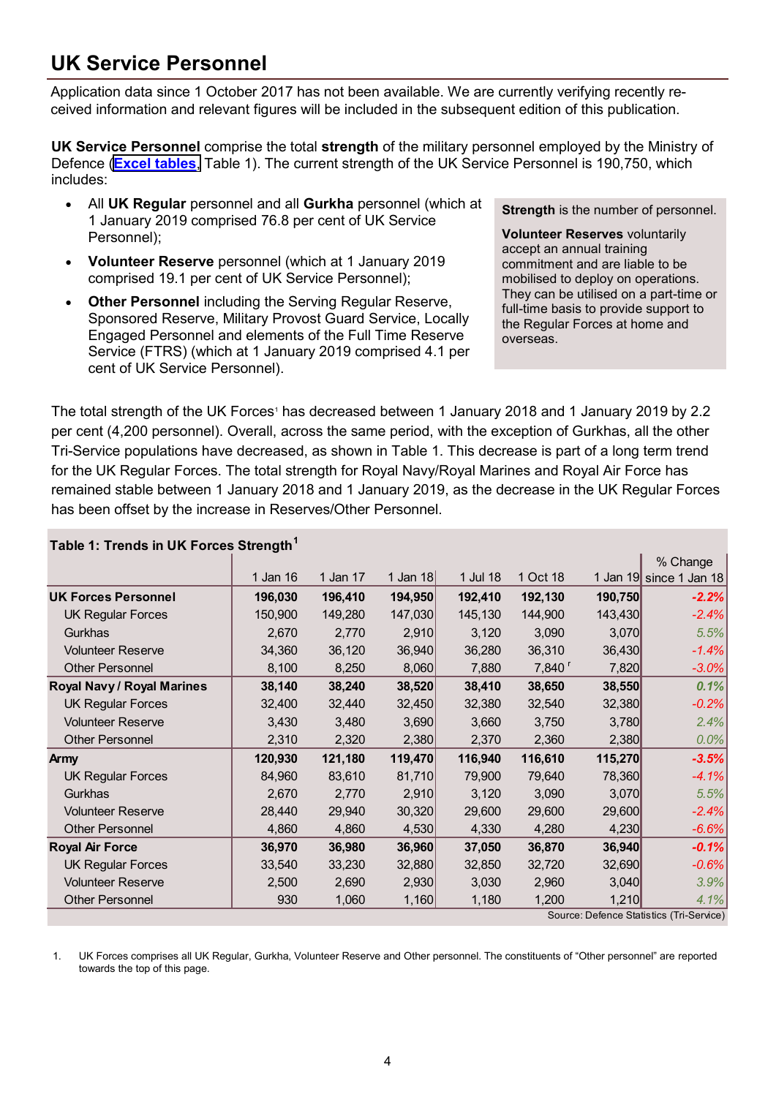## **UK Service Personnel**

Application data since 1 October 2017 has not been available. We are currently verifying recently received information and relevant figures will be included in the subsequent edition of this publication.

**UK Service Personnel** comprise the total **strength** of the military personnel employed by the Ministry of Defence (**[Excel tables](https://www.gov.uk/government/statistics/quarterly-service-personnel-statistics-2019)**, Table 1). The current strength of the UK Service Personnel is 190,750, which includes:

- All **UK Regular** personnel and all **Gurkha** personnel (which at 1 January 2019 comprised 76.8 per cent of UK Service Personnel);
- **Volunteer Reserve** personnel (which at 1 January 2019 comprised 19.1 per cent of UK Service Personnel);
- **Other Personnel** including the Serving Regular Reserve, Sponsored Reserve, Military Provost Guard Service, Locally Engaged Personnel and elements of the Full Time Reserve Service (FTRS) (which at 1 January 2019 comprised 4.1 per cent of UK Service Personnel).

**Strength** is the number of personnel.

**Volunteer Reserves** voluntarily accept an annual training commitment and are liable to be mobilised to deploy on operations. They can be utilised on a part-time or full-time basis to provide support to the Regular Forces at home and overseas.

The total strength of the UK Forces<sup>1</sup> has decreased between 1 January 2018 and 1 January 2019 by 2.2 per cent (4,200 personnel). Overall, across the same period, with the exception of Gurkhas, all the other Tri-Service populations have decreased, as shown in Table 1. This decrease is part of a long term trend for the UK Regular Forces. The total strength for Royal Navy/Royal Marines and Royal Air Force has remained stable between 1 January 2018 and 1 January 2019, as the decrease in the UK Regular Forces has been offset by the increase in Reserves/Other Personnel.

| Table 1: Trends in UK Forces Strength <sup>1</sup> |          |          |            |          |                      |         |                                          |
|----------------------------------------------------|----------|----------|------------|----------|----------------------|---------|------------------------------------------|
|                                                    |          |          |            |          |                      |         | % Change                                 |
|                                                    | 1 Jan 16 | 1 Jan 17 | 1 Jan $18$ | 1 Jul 18 | 1 Oct 18             |         | 1 Jan 19 since 1 Jan 18                  |
| <b>UK Forces Personnel</b>                         | 196,030  | 196,410  | 194,950    | 192,410  | 192,130              | 190,750 | $-2.2%$                                  |
| <b>UK Regular Forces</b>                           | 150,900  | 149,280  | 147,030    | 145,130  | 144,900              | 143,430 | $-2.4%$                                  |
| Gurkhas                                            | 2,670    | 2,770    | 2,910      | 3,120    | 3,090                | 3,070   | 5.5%                                     |
| <b>Volunteer Reserve</b>                           | 34,360   | 36,120   | 36,940     | 36,280   | 36,310               | 36,430  | $-1.4%$                                  |
| <b>Other Personnel</b>                             | 8,100    | 8,250    | 8,060      | 7,880    | $7,840$ <sup>r</sup> | 7,820   | $-3.0\%$                                 |
| Royal Navy / Royal Marines                         | 38,140   | 38,240   | 38,520     | 38,410   | 38,650               | 38,550  | 0.1%                                     |
| <b>UK Regular Forces</b>                           | 32,400   | 32,440   | 32,450     | 32,380   | 32,540               | 32,380  | $-0.2%$                                  |
| <b>Volunteer Reserve</b>                           | 3,430    | 3,480    | 3,690      | 3,660    | 3,750                | 3,780   | 2.4%                                     |
| <b>Other Personnel</b>                             | 2,310    | 2,320    | 2,380      | 2,370    | 2,360                | 2,380   | 0.0%                                     |
| <b>Army</b>                                        | 120,930  | 121,180  | 119,470    | 116,940  | 116,610              | 115,270 | $-3.5%$                                  |
| <b>UK Regular Forces</b>                           | 84,960   | 83,610   | 81,710     | 79,900   | 79,640               | 78,360  | $-4.1%$                                  |
| Gurkhas                                            | 2,670    | 2,770    | 2,910      | 3,120    | 3,090                | 3,070   | 5.5%                                     |
| <b>Volunteer Reserve</b>                           | 28,440   | 29,940   | 30,320     | 29,600   | 29,600               | 29,600  | $-2.4%$                                  |
| <b>Other Personnel</b>                             | 4,860    | 4,860    | 4,530      | 4,330    | 4,280                | 4,230   | $-6.6%$                                  |
| <b>Royal Air Force</b>                             | 36,970   | 36,980   | 36,960     | 37,050   | 36,870               | 36,940  | $-0.1%$                                  |
| <b>UK Regular Forces</b>                           | 33,540   | 33,230   | 32,880     | 32,850   | 32,720               | 32,690  | $-0.6%$                                  |
| <b>Volunteer Reserve</b>                           | 2,500    | 2,690    | 2,930      | 3,030    | 2,960                | 3,040   | 3.9%                                     |
| <b>Other Personnel</b>                             | 930      | 1,060    | 1,160      | 1,180    | 1,200                | 1,210   | 4.1%                                     |
|                                                    |          |          |            |          |                      |         | Source: Defence Statistics (Tri-Service) |

1. UK Forces comprises all UK Regular, Gurkha, Volunteer Reserve and Other personnel. The constituents of "Other personnel" are reported towards the top of this page.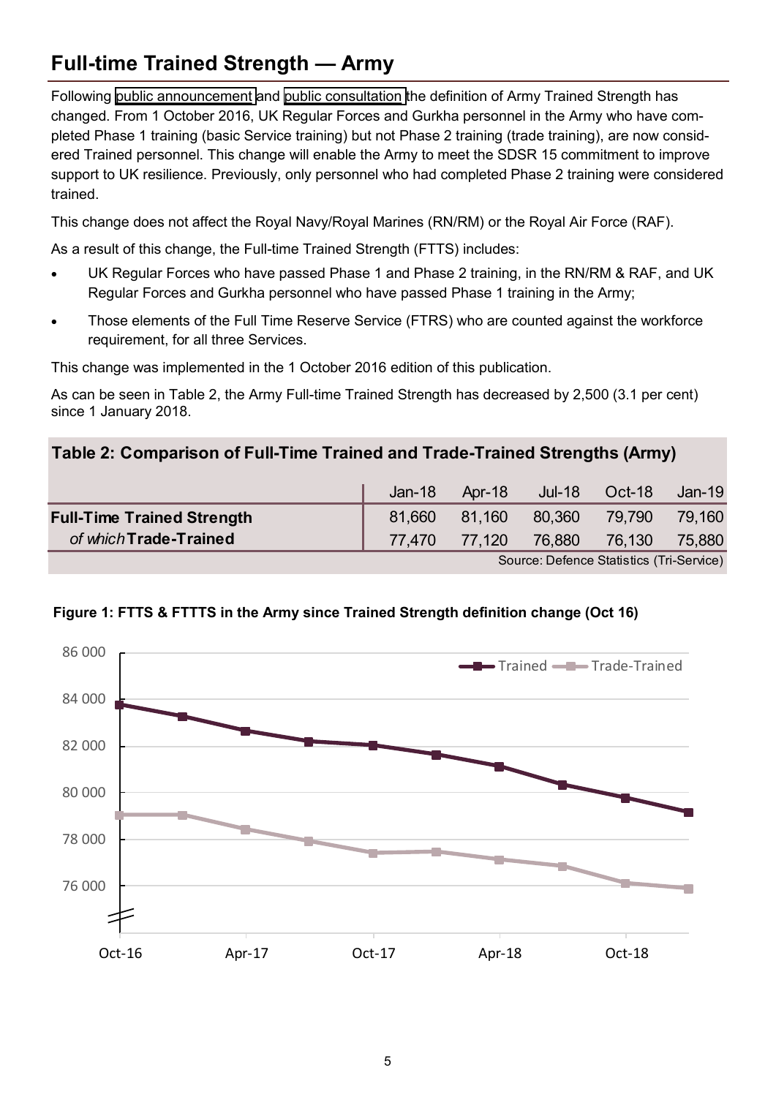## **Full-time Trained Strength — Army**

Following [public announcement](http://www.parliament.uk/business/publications/written-questions-answers-statements/written-statement/Lords/2016-06-29/HLWS50) and [public consultation](https://www.gov.uk/government/consultations/mod-personnel-statistics-change-to-army-trained-strength-definition) the definition of Army Trained Strength has changed. From 1 October 2016, UK Regular Forces and Gurkha personnel in the Army who have completed Phase 1 training (basic Service training) but not Phase 2 training (trade training), are now considered Trained personnel. This change will enable the Army to meet the SDSR 15 commitment to improve support to UK resilience. Previously, only personnel who had completed Phase 2 training were considered trained.

This change does not affect the Royal Navy/Royal Marines (RN/RM) or the Royal Air Force (RAF).

As a result of this change, the Full-time Trained Strength (FTTS) includes:

- UK Regular Forces who have passed Phase 1 and Phase 2 training, in the RN/RM & RAF, and UK Regular Forces and Gurkha personnel who have passed Phase 1 training in the Army;
- Those elements of the Full Time Reserve Service (FTRS) who are counted against the workforce requirement, for all three Services.

This change was implemented in the 1 October 2016 edition of this publication.

As can be seen in Table 2, the Army Full-time Trained Strength has decreased by 2,500 (3.1 per cent) since 1 January 2018.

#### **Table 2: Comparison of Full-Time Trained and Trade-Trained Strengths (Army)**

|                                   | $Jan-18$ | Apr-18 |                                          | Jul-18 Oct-18 | Jan-19 |
|-----------------------------------|----------|--------|------------------------------------------|---------------|--------|
| <b>Full-Time Trained Strength</b> | 81.660   | 81,160 | 80,360                                   | 79,790        | 79,160 |
| of which Trade-Trained            |          |        | 77,470 77,120 76,880 76,130 75,880       |               |        |
|                                   |          |        | Source: Defence Statistics (Tri-Service) |               |        |



### **Figure 1: FTTS & FTTTS in the Army since Trained Strength definition change (Oct 16)**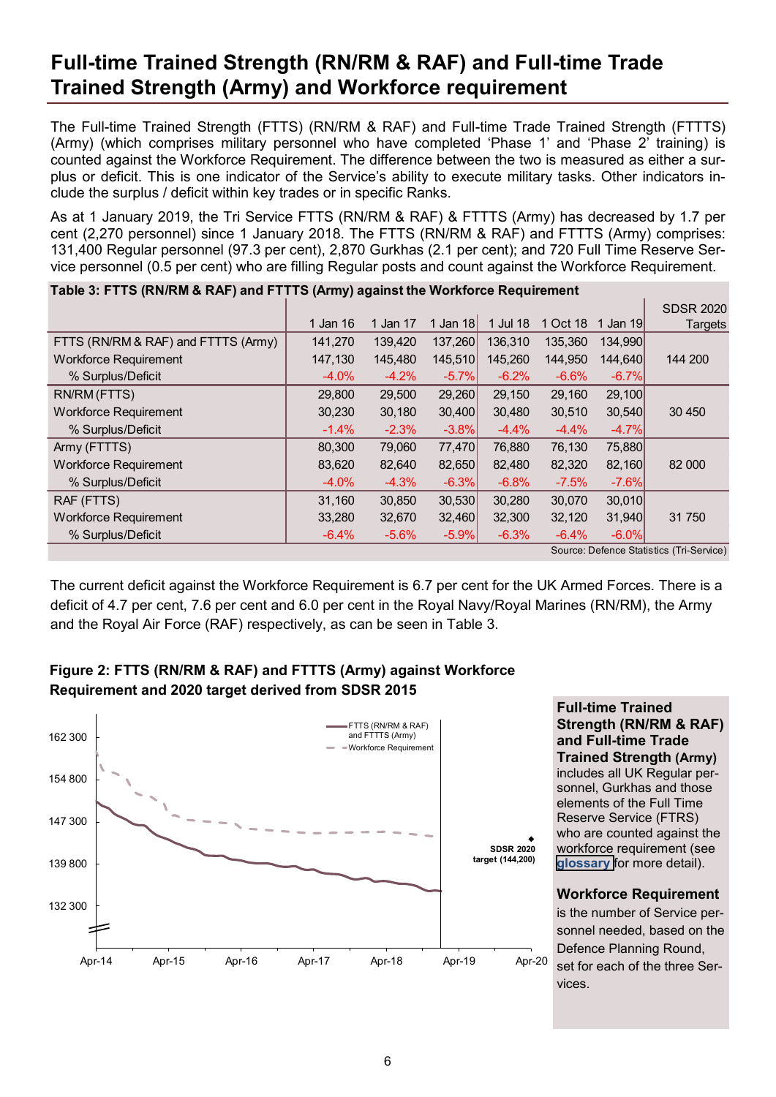## **Full-time Trained Strength (RN/RM & RAF) and Full-time Trade Trained Strength (Army) and Workforce requirement**

The Full-time Trained Strength (FTTS) (RN/RM & RAF) and Full-time Trade Trained Strength (FTTTS) (Army) (which comprises military personnel who have completed 'Phase 1' and 'Phase 2' training) is counted against the Workforce Requirement. The difference between the two is measured as either a surplus or deficit. This is one indicator of the Service's ability to execute military tasks. Other indicators include the surplus / deficit within key trades or in specific Ranks.

As at 1 January 2019, the Tri Service FTTS (RN/RM & RAF) & FTTTS (Army) has decreased by 1.7 per cent (2,270 personnel) since 1 January 2018. The FTTS (RN/RM & RAF) and FTTTS (Army) comprises: 131,400 Regular personnel (97.3 per cent), 2,870 Gurkhas (2.1 per cent); and 720 Full Time Reserve Service personnel (0.5 per cent) who are filling Regular posts and count against the Workforce Requirement.

| Table 5. FTTS (KN/KN) & KAF) and FTTTS (ANITY) against the WOIKIOICE Requirement |          |          |         |          |          |          |                                          |
|----------------------------------------------------------------------------------|----------|----------|---------|----------|----------|----------|------------------------------------------|
|                                                                                  |          |          |         |          |          |          | <b>SDSR 2020</b>                         |
|                                                                                  | 1 Jan 16 | 1 Jan 17 | Jan 18  | 1 Jul 18 | 1 Oct 18 | 1 Jan 19 | <b>Targets</b>                           |
| FTTS (RN/RM & RAF) and FTTTS (Army)                                              | 141,270  | 139.420  | 137,260 | 136.310  | 135.360  | 134,990  |                                          |
| <b>Workforce Requirement</b>                                                     | 147,130  | 145,480  | 145,510 | 145,260  | 144.950  | 144,640  | 144 200                                  |
| % Surplus/Deficit                                                                | $-4.0%$  | $-4.2%$  | $-5.7%$ | $-6.2%$  | $-6.6%$  | $-6.7%$  |                                          |
| RN/RM (FTTS)                                                                     | 29,800   | 29,500   | 29,260  | 29,150   | 29,160   | 29,100   |                                          |
| <b>Workforce Requirement</b>                                                     | 30,230   | 30,180   | 30,400  | 30,480   | 30,510   | 30,540   | 30 450                                   |
| % Surplus/Deficit                                                                | $-1.4%$  | $-2.3%$  | $-3.8%$ | $-4.4%$  | $-4.4%$  | $-4.7%$  |                                          |
| Army (FTTTS)                                                                     | 80,300   | 79,060   | 77,470  | 76,880   | 76,130   | 75,880   |                                          |
| <b>Workforce Requirement</b>                                                     | 83,620   | 82,640   | 82,650  | 82,480   | 82,320   | 82,160   | 82 000                                   |
| % Surplus/Deficit                                                                | $-4.0%$  | $-4.3%$  | $-6.3%$ | $-6.8%$  | $-7.5%$  | $-7.6%$  |                                          |
| RAF (FTTS)                                                                       | 31,160   | 30,850   | 30,530  | 30,280   | 30,070   | 30,010   |                                          |
| <b>Workforce Requirement</b>                                                     | 33,280   | 32,670   | 32,460  | 32,300   | 32,120   | 31,940   | 31 750                                   |
| % Surplus/Deficit                                                                | $-6.4%$  | $-5.6%$  | $-5.9%$ | $-6.3%$  | $-6.4%$  | $-6.0%$  |                                          |
|                                                                                  |          |          |         |          |          |          | Source: Defence Statistics (Tri-Service) |

**Table 3: FTTS (RN/RM & RAF) and FTTTS (Army) against the Workforce Requirement**

The current deficit against the Workforce Requirement is 6.7 per cent for the UK Armed Forces. There is a deficit of 4.7 per cent, 7.6 per cent and 6.0 per cent in the Royal Navy/Royal Marines (RN/RM), the Army and the Royal Air Force (RAF) respectively, as can be seen in Table 3.





**Full-time Trained Strength (RN/RM & RAF) and Full-time Trade Trained Strength (Army)**  includes all UK Regular personnel, Gurkhas and those elements of the Full Time Reserve Service (FTRS) who are counted against the workforce requirement (see **[glossary](https://www.gov.uk/government/uploads/system/uploads/attachment_data/file/552818/Tri-Service_Glossary_-_Aug16.pdf)** for more detail).

#### **Workforce Requirement**

is the number of Service personnel needed, based on the Defence Planning Round, set for each of the three Services.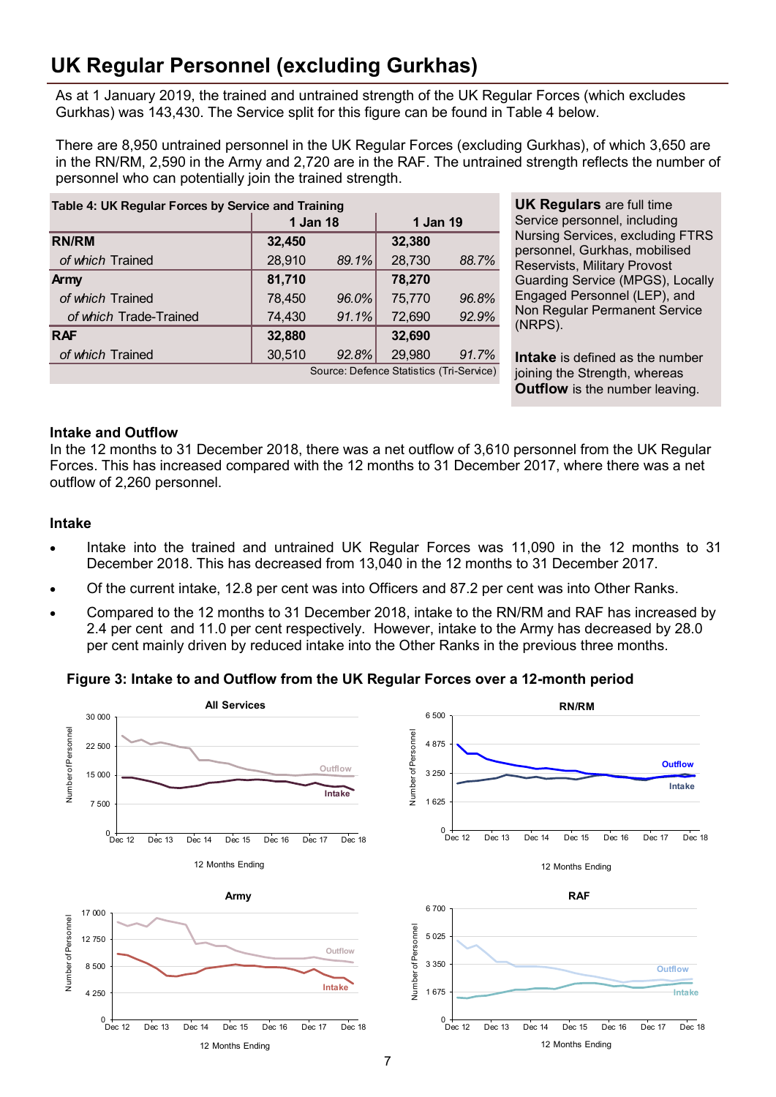## **UK Regular Personnel (excluding Gurkhas)**

As at 1 January 2019, the trained and untrained strength of the UK Regular Forces (which excludes Gurkhas) was 143,430. The Service split for this figure can be found in Table 4 below.

There are 8,950 untrained personnel in the UK Regular Forces (excluding Gurkhas), of which 3,650 are in the RN/RM, 2,590 in the Army and 2,720 are in the RAF. The untrained strength reflects the number of personnel who can potentially join the trained strength.

| Table 4: UK Regular Forces by Service and Training |          |       |          |       |  |  |
|----------------------------------------------------|----------|-------|----------|-------|--|--|
|                                                    | 1 Jan 18 |       | 1 Jan 19 |       |  |  |
| <b>RN/RM</b>                                       | 32,450   |       | 32,380   |       |  |  |
| of which Trained                                   | 28,910   | 89.1% | 28,730   | 88.7% |  |  |
| Army                                               | 81,710   |       | 78,270   |       |  |  |
| of which Trained                                   | 78,450   | 96.0% | 75,770   | 96.8% |  |  |
| of which Trade-Trained                             | 74,430   | 91.1% | 72,690   | 92.9% |  |  |
| <b>RAF</b>                                         | 32,880   |       | 32,690   |       |  |  |
| of which Trained                                   | 30,510   | 92.8% | 29,980   | 91.7% |  |  |
| Source: Defence Statistics (Tri-Service)           |          |       |          |       |  |  |

**UK Regulars** are full time Service personnel, including Nursing Services, excluding FTRS personnel, Gurkhas, mobilised Reservists, Military Provost Guarding Service (MPGS), Locally Engaged Personnel (LEP), and Non Regular Permanent Service (NRPS).

**Intake** is defined as the number joining the Strength, whereas **Outflow** is the number leaving.

#### **Intake and Outflow**

In the 12 months to 31 December 2018, there was a net outflow of 3,610 personnel from the UK Regular Forces. This has increased compared with the 12 months to 31 December 2017, where there was a net outflow of 2,260 personnel.

#### **Intake**

- Intake into the trained and untrained UK Regular Forces was 11,090 in the 12 months to 31 December 2018. This has decreased from 13,040 in the 12 months to 31 December 2017.
- Of the current intake, 12.8 per cent was into Officers and 87.2 per cent was into Other Ranks.
- Compared to the 12 months to 31 December 2018, intake to the RN/RM and RAF has increased by 2.4 per cent and 11.0 per cent respectively. However, intake to the Army has decreased by 28.0 per cent mainly driven by reduced intake into the Other Ranks in the previous three months.

#### **Figure 3: Intake to and Outflow from the UK Regular Forces over a 12-month period**

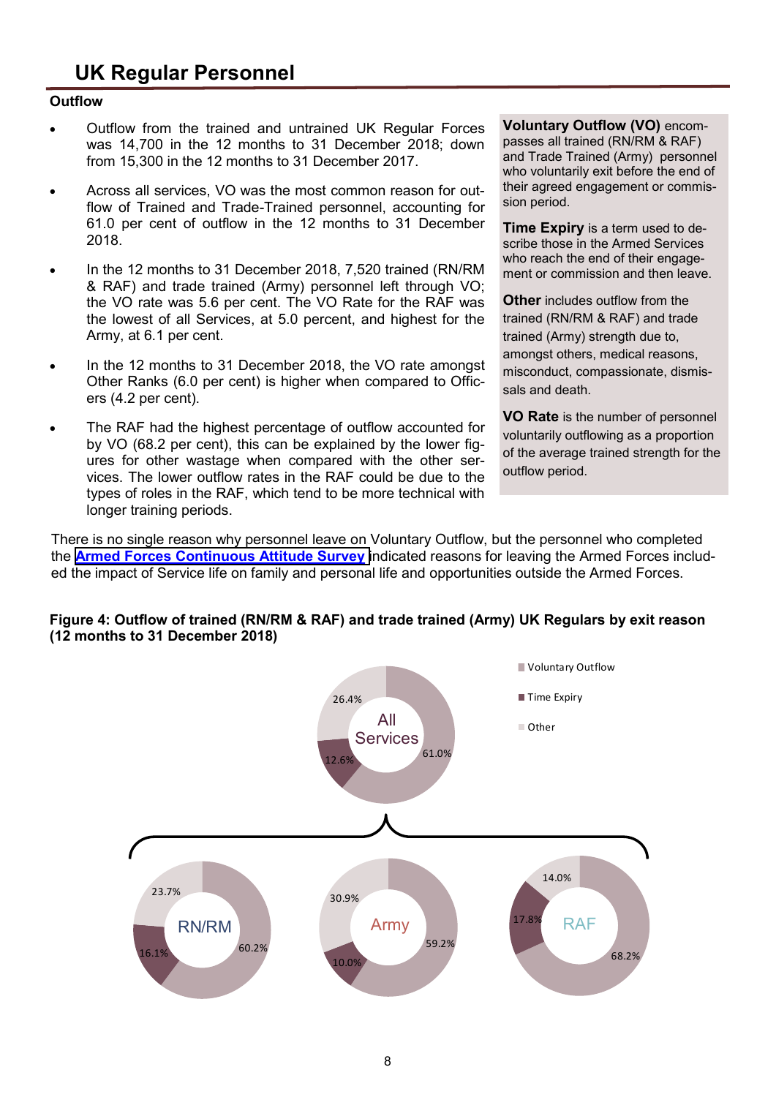#### **Outflow**

- Outflow from the trained and untrained UK Regular Forces was 14,700 in the 12 months to 31 December 2018; down from 15,300 in the 12 months to 31 December 2017.
- Across all services, VO was the most common reason for outflow of Trained and Trade-Trained personnel, accounting for 61.0 per cent of outflow in the 12 months to 31 December 2018.
- In the 12 months to 31 December 2018, 7,520 trained (RN/RM & RAF) and trade trained (Army) personnel left through VO; the VO rate was 5.6 per cent. The VO Rate for the RAF was the lowest of all Services, at 5.0 percent, and highest for the Army, at 6.1 per cent.
- In the 12 months to 31 December 2018, the VO rate amongst Other Ranks (6.0 per cent) is higher when compared to Officers (4.2 per cent).
- The RAF had the highest percentage of outflow accounted for by VO (68.2 per cent), this can be explained by the lower figures for other wastage when compared with the other services. The lower outflow rates in the RAF could be due to the types of roles in the RAF, which tend to be more technical with longer training periods.

**Voluntary Outflow (VO)** encompasses all trained (RN/RM & RAF) and Trade Trained (Army) personnel who voluntarily exit before the end of their agreed engagement or commission period.

**Time Expiry** is a term used to describe those in the Armed Services who reach the end of their engagement or commission and then leave.

**Other** includes outflow from the trained (RN/RM & RAF) and trade trained (Army) strength due to, amongst others, medical reasons, misconduct, compassionate, dismissals and death.

**VO Rate** is the number of personnel voluntarily outflowing as a proportion of the average trained strength for the outflow period.

There is no single reason why personnel leave on Voluntary Outflow, but the personnel who completed the **[Armed Forces Continuous Attitude Survey](https://www.gov.uk/government/statistics/armed-forces-continuous-attitude-survey-2017)** indicated reasons for leaving the Armed Forces included the impact of Service life on family and personal life and opportunities outside the Armed Forces.



#### **Figure 4: Outflow of trained (RN/RM & RAF) and trade trained (Army) UK Regulars by exit reason (12 months to 31 December 2018)**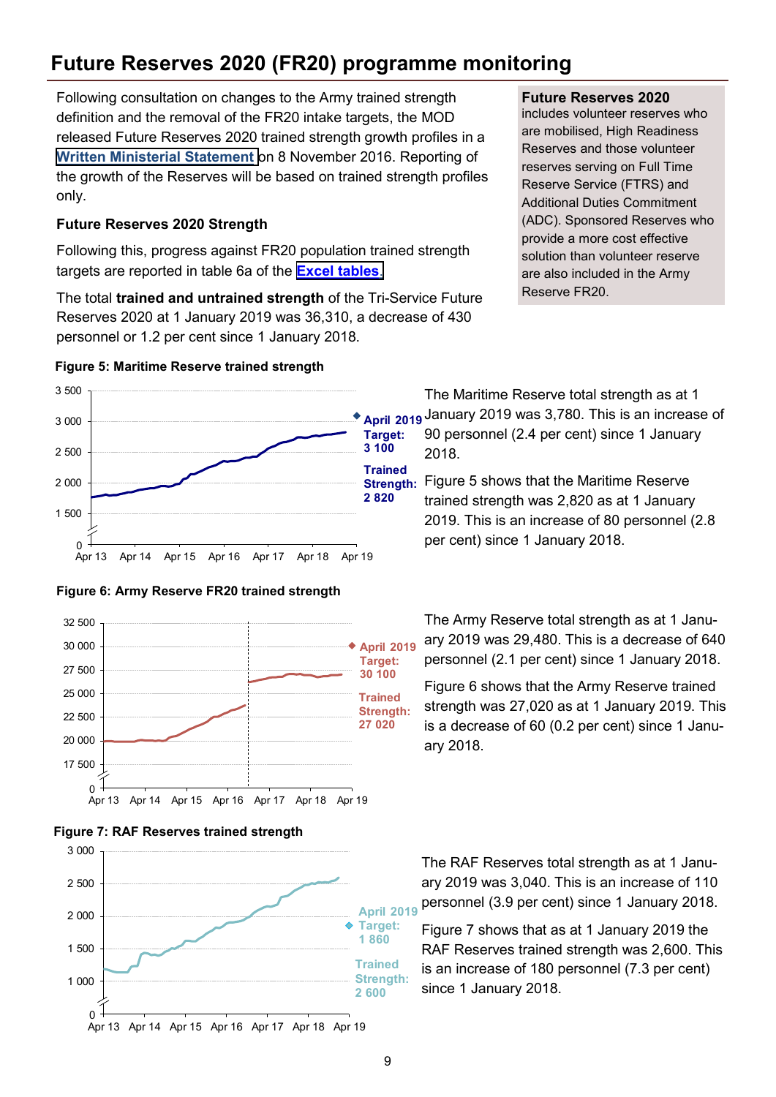## **Future Reserves 2020 (FR20) programme monitoring**

Following consultation on changes to the Army trained strength definition and the removal of the FR20 intake targets, the MOD released Future Reserves 2020 trained strength growth profiles in a **[Written Ministerial Statement](http://www.parliament.uk/business/publications/written-questions-answers-statements/written-statement/Lords/2016-11-08/HLWS250/)** on 8 November 2016. Reporting of the growth of the Reserves will be based on trained strength profiles only.

#### **Future Reserves 2020 Strength**

Following this, progress against FR20 population trained strength targets are reported in table 6a of the **[Excel tables](https://www.gov.uk/government/statistics/quarterly-service-personnel-statistics-2019)**.

The total **trained and untrained strength** of the Tri-Service Future Reserves 2020 at 1 January 2019 was 36,310, a decrease of 430 personnel or 1.2 per cent since 1 January 2018.

#### **Figure 5: Maritime Reserve trained strength**











#### **Future Reserves 2020**

includes volunteer reserves who are mobilised, High Readiness Reserves and those volunteer reserves serving on Full Time Reserve Service (FTRS) and Additional Duties Commitment (ADC). Sponsored Reserves who provide a more cost effective solution than volunteer reserve are also included in the Army Reserve FR20.

The Maritime Reserve total strength as at 1 January 2019 was 3,780. This is an increase of 90 personnel (2.4 per cent) since 1 January 2018.

**Strength:** Figure 5 shows that the Maritime Reserve trained strength was 2,820 as at 1 January 2019. This is an increase of 80 personnel (2.8 per cent) since 1 January 2018.

> The Army Reserve total strength as at 1 January 2019 was 29,480. This is a decrease of 640 personnel (2.1 per cent) since 1 January 2018.

> Figure 6 shows that the Army Reserve trained strength was 27,020 as at 1 January 2019. This is a decrease of 60 (0.2 per cent) since 1 January 2018.

The RAF Reserves total strength as at 1 January 2019 was 3,040. This is an increase of 110 personnel (3.9 per cent) since 1 January 2018.

Figure 7 shows that as at 1 January 2019 the RAF Reserves trained strength was 2,600. This is an increase of 180 personnel (7.3 per cent) since 1 January 2018.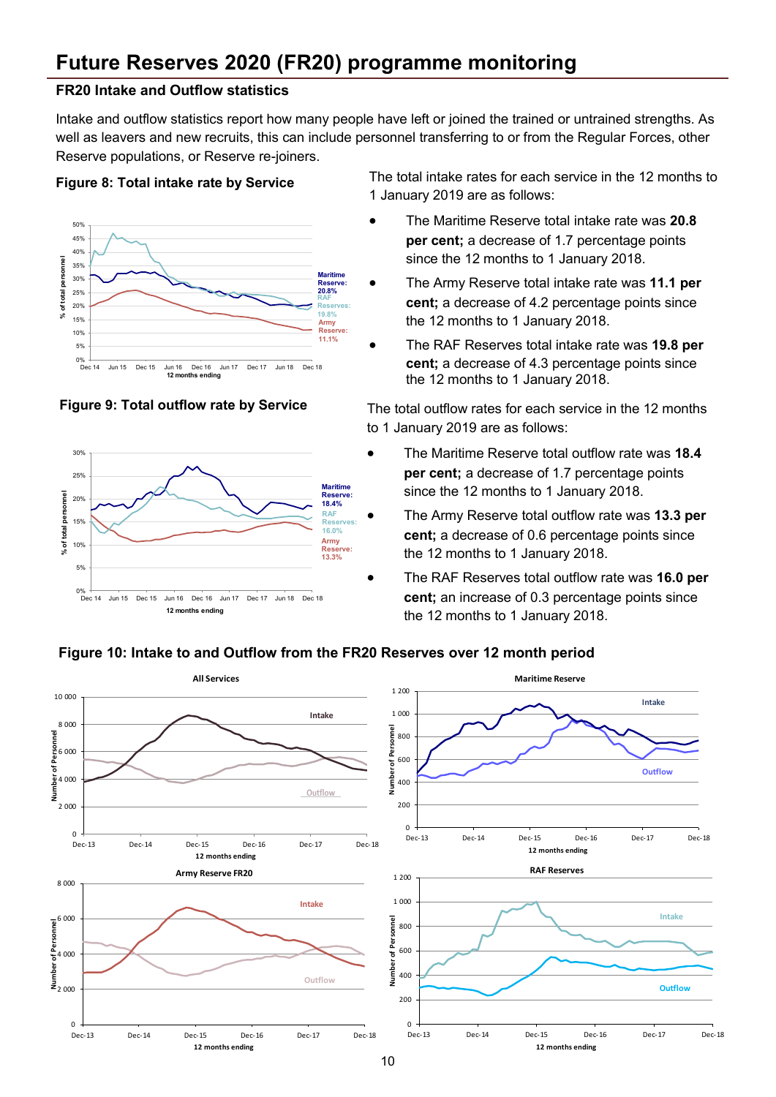## **Future Reserves 2020 (FR20) programme monitoring**

#### **FR20 Intake and Outflow statistics**

Intake and outflow statistics report how many people have left or joined the trained or untrained strengths. As well as leavers and new recruits, this can include personnel transferring to or from the Regular Forces, other Reserve populations, or Reserve re-joiners.

#### **Figure 8: Total intake rate by Service**





The total intake rates for each service in the 12 months to 1 January 2019 are as follows:

- The Maritime Reserve total intake rate was **20.8 per cent;** a decrease of 1.7 percentage points since the 12 months to 1 January 2018.
- The Army Reserve total intake rate was **11.1 per cent;** a decrease of 4.2 percentage points since the 12 months to 1 January 2018.
- The RAF Reserves total intake rate was **19.8 per cent;** a decrease of 4.3 percentage points since the 12 months to 1 January 2018.

**Figure 9: Total outflow rate by Service** The total outflow rates for each service in the 12 months to 1 January 2019 are as follows:

- The Maritime Reserve total outflow rate was **18.4 per cent;** a decrease of 1.7 percentage points since the 12 months to 1 January 2018.
- The Army Reserve total outflow rate was **13.3 per cent;** a decrease of 0.6 percentage points since the 12 months to 1 January 2018.
- The RAF Reserves total outflow rate was **16.0 per cent;** an increase of 0.3 percentage points since the 12 months to 1 January 2018.

#### **Figure 10: Intake to and Outflow from the FR20 Reserves over 12 month period**

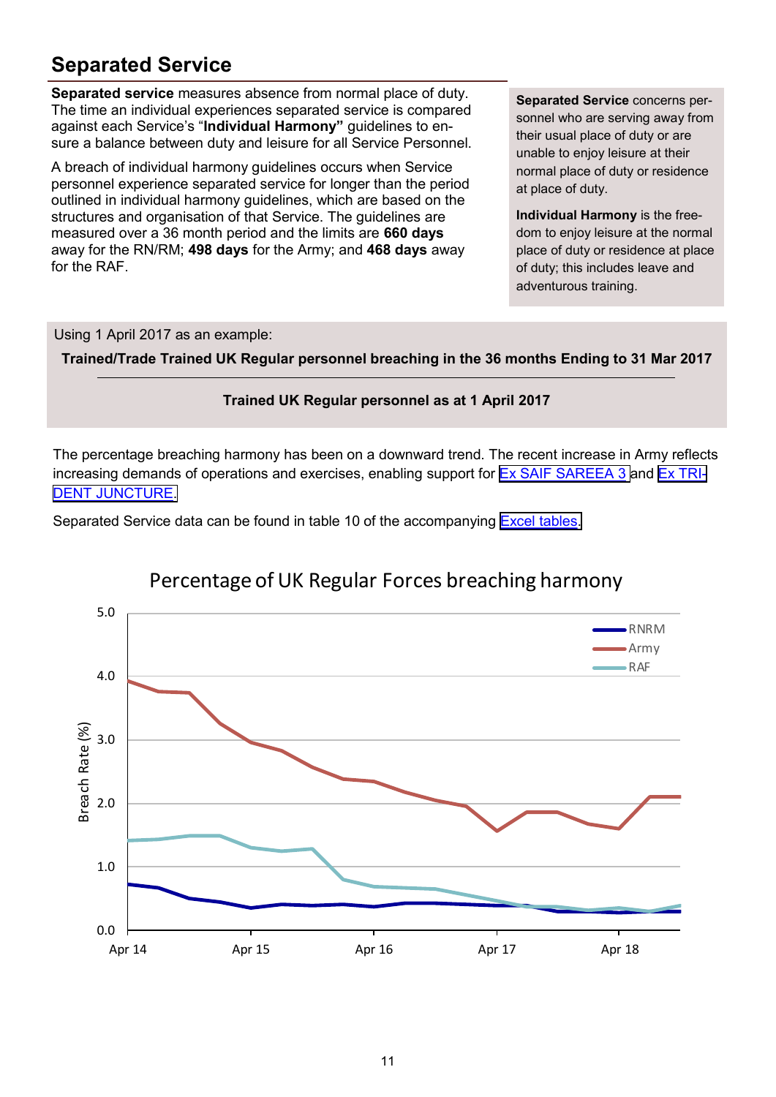## **Separated Service**

**Separated service** measures absence from normal place of duty. The time an individual experiences separated service is compared against each Service's "**Individual Harmony"** guidelines to ensure a balance between duty and leisure for all Service Personnel.

A breach of individual harmony guidelines occurs when Service personnel experience separated service for longer than the period outlined in individual harmony guidelines, which are based on the structures and organisation of that Service. The guidelines are measured over a 36 month period and the limits are **660 days**  away for the RN/RM; **498 days** for the Army; and **468 days** away for the RAF.

**Separated Service** concerns personnel who are serving away from their usual place of duty or are unable to enjoy leisure at their normal place of duty or residence at place of duty.

**Individual Harmony** is the freedom to enjoy leisure at the normal place of duty or residence at place of duty; this includes leave and adventurous training.

Using 1 April 2017 as an example:

**Trained/Trade Trained UK Regular personnel breaching in the 36 months Ending to 31 Mar 2017**



The percentage breaching harmony has been on a downward trend. The recent increase in Army reflects increasing demands of operations and exercises, enabling support for [Ex SAIF SAREEA 3](https:/www.army.mod.uk/news-and-events/news/2018/10/exercise-saif-sareea-3/) and [Ex TRI-](https:/www.army.mod.uk/news-and-events/news/2018/10/exercise-trident-juncture-2018/)[DENT JUNCTURE.](https:/www.army.mod.uk/news-and-events/news/2018/10/exercise-trident-juncture-2018/)

Separated Service data can be found in table 10 of the accompanying [Excel tables.](uk/government/statistics/quarterly-service-personnel-statistics-2019)



## Percentage of UK Regular Forces breaching harmony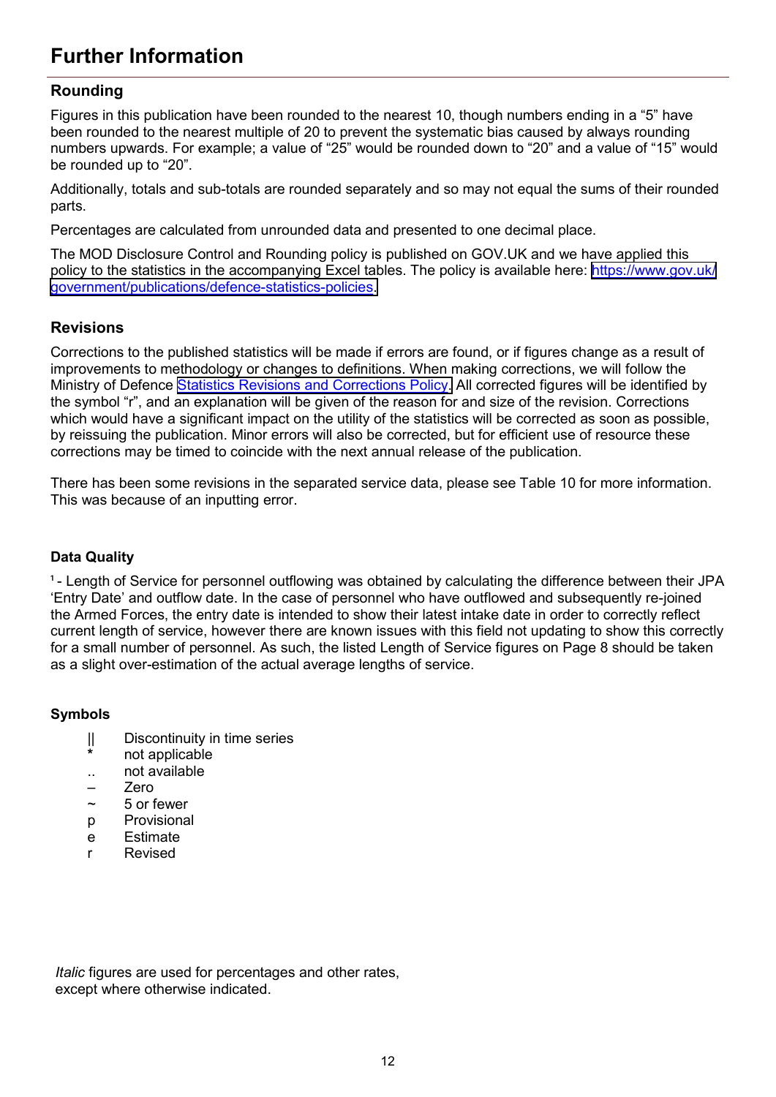## **Further Information**

#### **Rounding**

Figures in this publication have been rounded to the nearest 10, though numbers ending in a "5" have been rounded to the nearest multiple of 20 to prevent the systematic bias caused by always rounding numbers upwards. For example; a value of "25" would be rounded down to "20" and a value of "15" would be rounded up to "20".

Additionally, totals and sub-totals are rounded separately and so may not equal the sums of their rounded parts.

Percentages are calculated from unrounded data and presented to one decimal place.

The MOD Disclosure Control and Rounding policy is published on GOV.UK and we have applied this policy to the statistics in the accompanying Excel tables. The policy is available here: [https://www.gov.uk/](https://www.gov.uk/government/publications/defence-statistics-policies) [government/publications/defence](https://www.gov.uk/government/publications/defence-statistics-policies)-statistics-policies.

#### **Revisions**

Corrections to the published statistics will be made if errors are found, or if figures change as a result of improvements to methodology or changes to definitions. When making corrections, we will follow the Ministry of Defence [Statistics Revisions and Corrections Policy.](https://www.gov.uk/government/uploads/system/uploads/attachment_data/file/284849/defence-statistics-revisions-and-corrections-policy-v1.pdf) All corrected figures will be identified by the symbol "r", and an explanation will be given of the reason for and size of the revision. Corrections which would have a significant impact on the utility of the statistics will be corrected as soon as possible, by reissuing the publication. Minor errors will also be corrected, but for efficient use of resource these corrections may be timed to coincide with the next annual release of the publication.

There has been some revisions in the separated service data, please see Table 10 for more information. This was because of an inputting error.

#### **Data Quality**

<sup>1</sup> - Length of Service for personnel outflowing was obtained by calculating the difference between their JPA 'Entry Date' and outflow date. In the case of personnel who have outflowed and subsequently re-joined the Armed Forces, the entry date is intended to show their latest intake date in order to correctly reflect current length of service, however there are known issues with this field not updating to show this correctly for a small number of personnel. As such, the listed Length of Service figures on Page 8 should be taken as a slight over-estimation of the actual average lengths of service.

#### **Symbols**

- || Discontinuity in time series
- **\*** not applicable
- .. not available
- Zero
- ~ 5 or fewer
- p Provisional
- e Estimate
- r Revised

*Italic* figures are used for percentages and other rates, except where otherwise indicated.